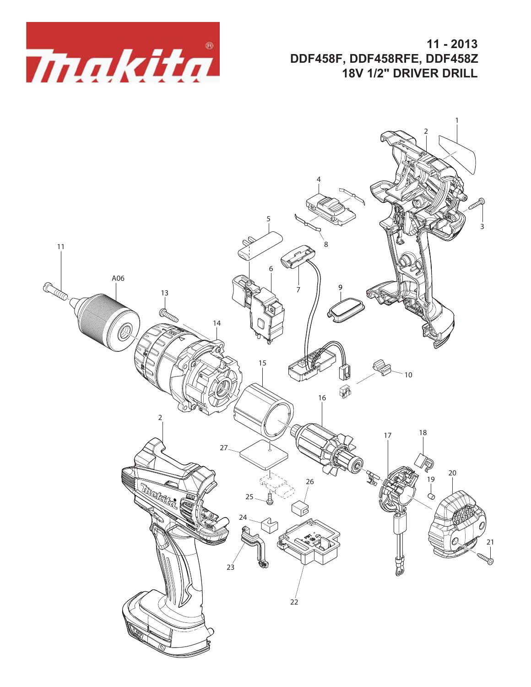

**11 - 2013 DDF458F, DDF458RFE, DDF458Z 18V 1/2" DRIVER DRILL**